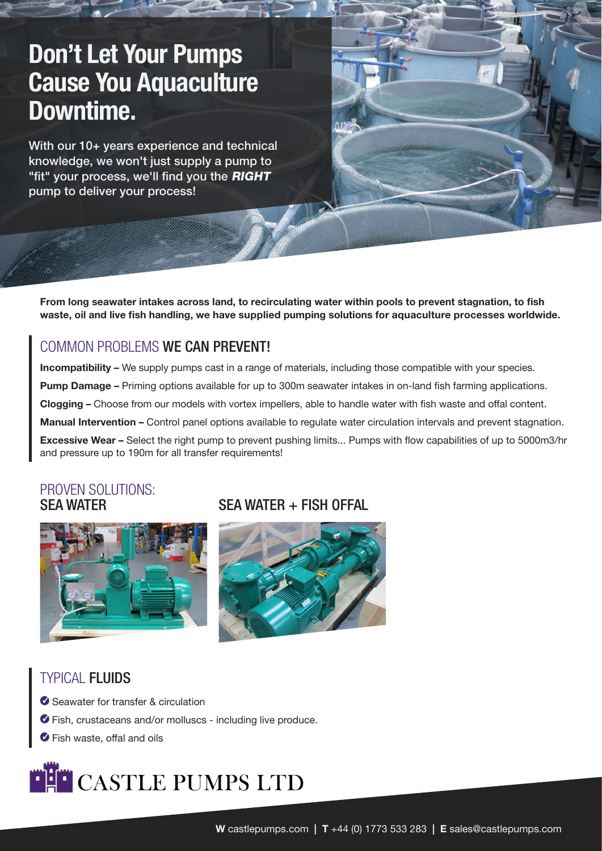# Don't Let Your Pumps Cause You Aquaculture Downtime.

With our 10+ years experience and technical knowledge, we won't just supply a pump to "fit" your process, we'll find you the RIGHT pump to deliver your process!

From long seawater intakes across land, to recirculating water within pools to prevent stagnation, to fish waste, oil and live fish handling, we have supplied pumping solutions for aquaculture processes worldwide.

## COMMON PROBLEMS WE CAN PREVENT!

Incompatibility – We supply pumps cast in a range of materials, including those compatible with your species. Pump Damage – Priming options available for up to 300m seawater intakes in on-land fish farming applications. Clogging – Choose from our models with vortex impellers, able to handle water with fish waste and offal content. Manual Intervention – Control panel options available to regulate water circulation intervals and prevent stagnation. Excessive Wear – Select the right pump to prevent pushing limits... Pumps with flow capabilities of up to 5000m3/hr and pressure up to 190m for all transfer requirements!

#### PROVEN SOLUTIONS: SEA WATER



## $SFA WATER + FISH OFFAI$



## TYPICAL FLUIDS

- G Seawater for transfer & circulation
- A Fish, crustaceans and/or molluscs including live produce.
- $\bullet$  Fish waste, offal and oils